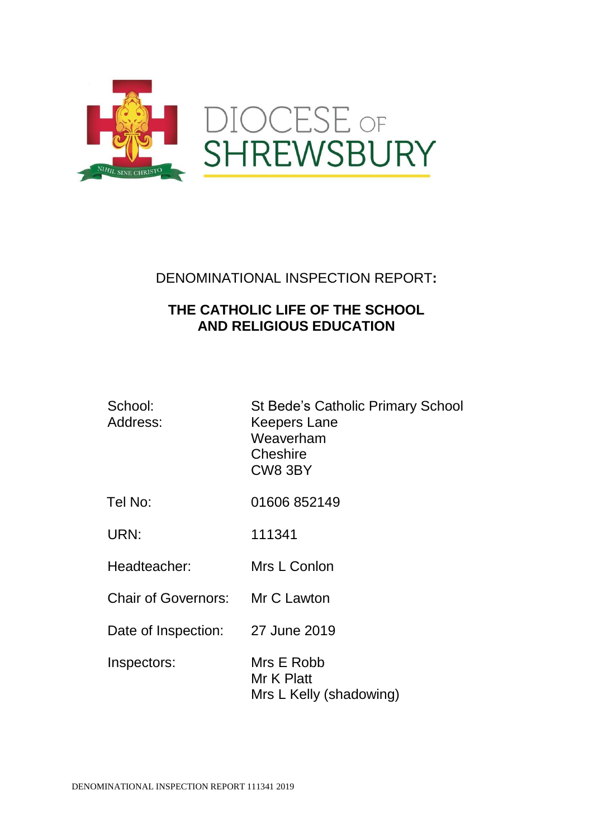

### DENOMINATIONAL INSPECTION REPORT**:**

## **THE CATHOLIC LIFE OF THE SCHOOL AND RELIGIOUS EDUCATION**

| School:<br>Address:             | <b>St Bede's Catholic Primary School</b><br><b>Keepers Lane</b><br>Weaverham<br>Cheshire<br>CW8 3BY |
|---------------------------------|-----------------------------------------------------------------------------------------------------|
| Tel No:                         | 01606 852149                                                                                        |
| URN:                            | 111341                                                                                              |
| Headteacher:                    | Mrs L Conlon                                                                                        |
| Chair of Governors: Mr C Lawton |                                                                                                     |
| Date of Inspection:             | 27 June 2019                                                                                        |
| Inspectors:                     | Mrs E Robb<br>Mr K Platt<br>Mrs L Kelly (shadowing)                                                 |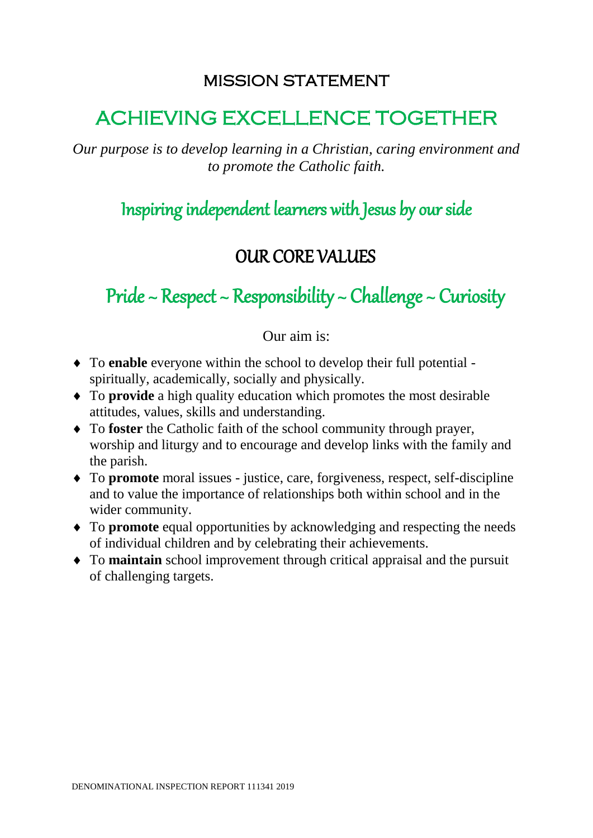# MISSION STATEMENT

# ACHIEVING EXCELLENCE TOGETHER

*Our purpose is to develop learning in a Christian, caring environment and to promote the Catholic faith.*

Inspiring independent learners with Jesus by our side

# OUR CORE VALUES

Pride  $\sim$  Respect  $\sim$  Responsibility  $\sim$  Challenge  $\sim$  Curiosity

Our aim is:

- To **enable** everyone within the school to develop their full potential spiritually, academically, socially and physically.
- To **provide** a high quality education which promotes the most desirable attitudes, values, skills and understanding.
- To **foster** the Catholic faith of the school community through prayer, worship and liturgy and to encourage and develop links with the family and the parish.
- To **promote** moral issues justice, care, forgiveness, respect, self-discipline and to value the importance of relationships both within school and in the wider community.
- To **promote** equal opportunities by acknowledging and respecting the needs of individual children and by celebrating their achievements.
- To **maintain** school improvement through critical appraisal and the pursuit of challenging targets.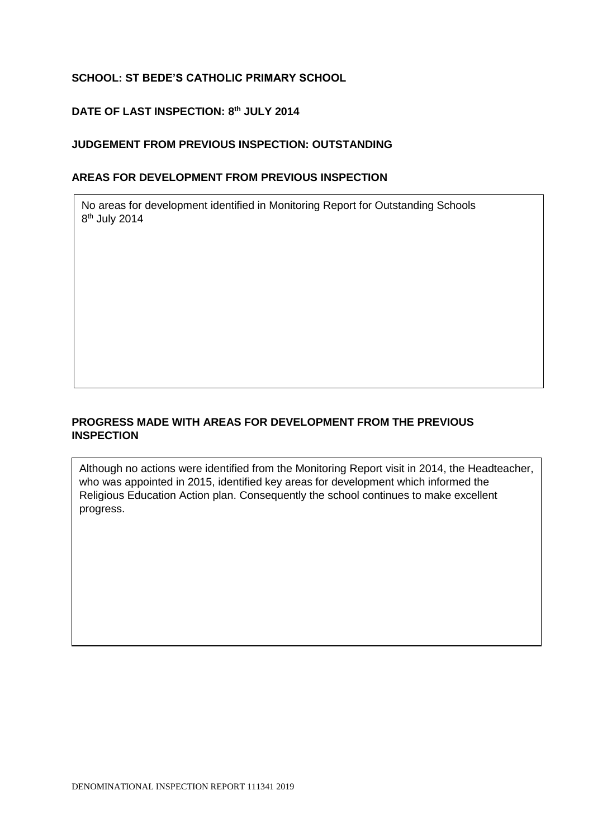#### **SCHOOL: ST BEDE'S CATHOLIC PRIMARY SCHOOL**

#### **DATE OF LAST INSPECTION: 8 th JULY 2014**

#### **JUDGEMENT FROM PREVIOUS INSPECTION: OUTSTANDING**

#### **AREAS FOR DEVELOPMENT FROM PREVIOUS INSPECTION**

No areas for development identified in Monitoring Report for Outstanding Schools 8<sup>th</sup> July 2014

#### **PROGRESS MADE WITH AREAS FOR DEVELOPMENT FROM THE PREVIOUS INSPECTION**

Although no actions were identified from the Monitoring Report visit in 2014, the Headteacher, who was appointed in 2015, identified key areas for development which informed the Religious Education Action plan. Consequently the school continues to make excellent progress.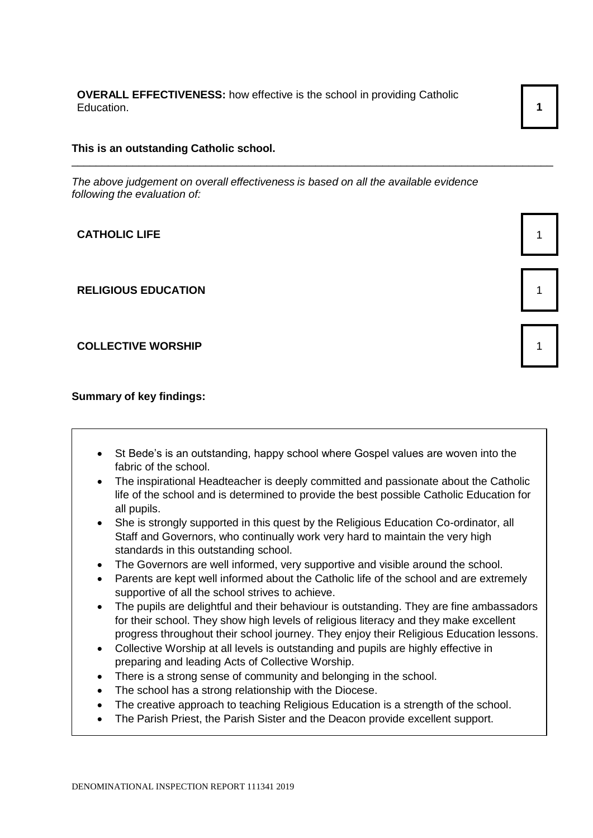**OVERALL EFFECTIVENESS:** how effective is the school in providing Catholic Education. **1** 1

#### **This is an outstanding Catholic school.**

*The above judgement on overall effectiveness is based on all the available evidence following the evaluation of:*

\_\_\_\_\_\_\_\_\_\_\_\_\_\_\_\_\_\_\_\_\_\_\_\_\_\_\_\_\_\_\_\_\_\_\_\_\_\_\_\_\_\_\_\_\_\_\_\_\_\_\_\_\_\_\_\_\_\_\_\_\_\_\_\_\_\_\_\_\_\_\_\_\_\_\_\_\_\_\_

**CATHOLIC LIFE** 1

**RELIGIOUS EDUCATION** 1

**COLLECTIVE WORSHIP 1** 1

**Summary of key findings:**

- St Bede's is an outstanding, happy school where Gospel values are woven into the fabric of the school.
- The inspirational Headteacher is deeply committed and passionate about the Catholic life of the school and is determined to provide the best possible Catholic Education for all pupils.
- She is strongly supported in this quest by the Religious Education Co-ordinator, all Staff and Governors, who continually work very hard to maintain the very high standards in this outstanding school.
- The Governors are well informed, very supportive and visible around the school.
- Parents are kept well informed about the Catholic life of the school and are extremely supportive of all the school strives to achieve.
- The pupils are delightful and their behaviour is outstanding. They are fine ambassadors for their school. They show high levels of religious literacy and they make excellent progress throughout their school journey. They enjoy their Religious Education lessons.
- Collective Worship at all levels is outstanding and pupils are highly effective in preparing and leading Acts of Collective Worship.
- There is a strong sense of community and belonging in the school.
- The school has a strong relationship with the Diocese.
- The creative approach to teaching Religious Education is a strength of the school.
- The Parish Priest, the Parish Sister and the Deacon provide excellent support.



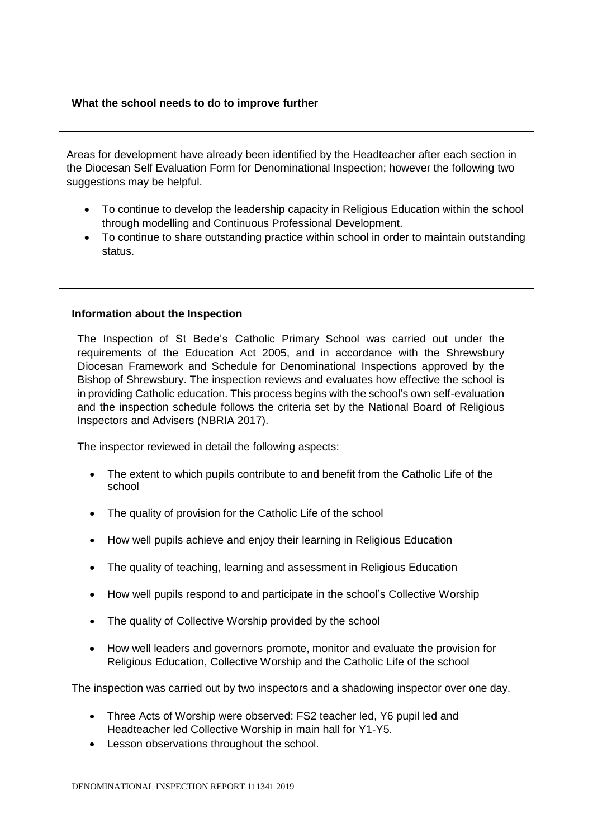#### **What the school needs to do to improve further**

Areas for development have already been identified by the Headteacher after each section in the Diocesan Self Evaluation Form for Denominational Inspection; however the following two suggestions may be helpful.

- To continue to develop the leadership capacity in Religious Education within the school through modelling and Continuous Professional Development.
- To continue to share outstanding practice within school in order to maintain outstanding status.

#### **Information about the Inspection**

The Inspection of St Bede's Catholic Primary School was carried out under the requirements of the Education Act 2005, and in accordance with the Shrewsbury Diocesan Framework and Schedule for Denominational Inspections approved by the Bishop of Shrewsbury. The inspection reviews and evaluates how effective the school is in providing Catholic education. This process begins with the school's own self-evaluation and the inspection schedule follows the criteria set by the National Board of Religious Inspectors and Advisers (NBRIA 2017).

The inspector reviewed in detail the following aspects:

- The extent to which pupils contribute to and benefit from the Catholic Life of the school
- The quality of provision for the Catholic Life of the school
- How well pupils achieve and enjoy their learning in Religious Education
- The quality of teaching, learning and assessment in Religious Education
- How well pupils respond to and participate in the school's Collective Worship
- The quality of Collective Worship provided by the school
- How well leaders and governors promote, monitor and evaluate the provision for Religious Education, Collective Worship and the Catholic Life of the school

The inspection was carried out by two inspectors and a shadowing inspector over one day.

- Three Acts of Worship were observed: FS2 teacher led, Y6 pupil led and Headteacher led Collective Worship in main hall for Y1-Y5.
- Lesson observations throughout the school.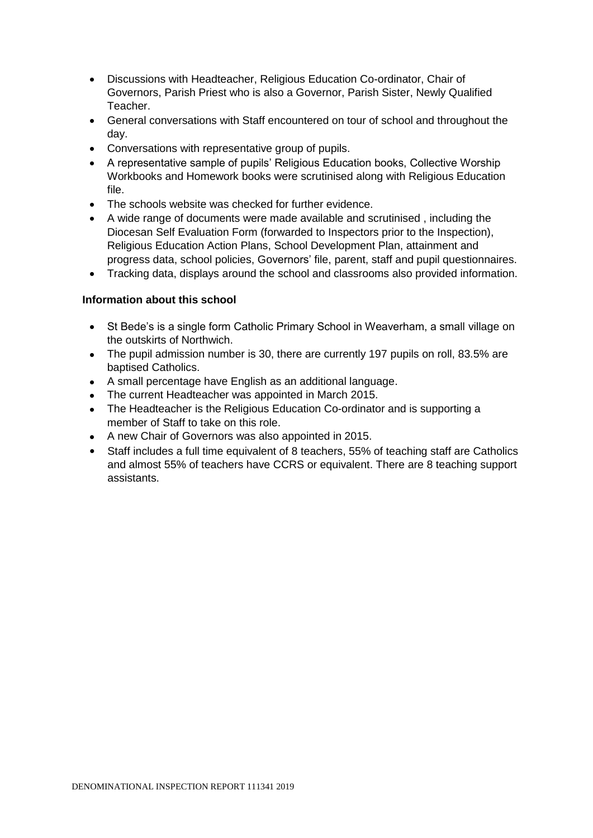- Discussions with Headteacher, Religious Education Co-ordinator, Chair of Governors, Parish Priest who is also a Governor, Parish Sister, Newly Qualified Teacher.
- General conversations with Staff encountered on tour of school and throughout the day.
- Conversations with representative group of pupils.
- A representative sample of pupils' Religious Education books, Collective Worship Workbooks and Homework books were scrutinised along with Religious Education file.
- The schools website was checked for further evidence.
- A wide range of documents were made available and scrutinised , including the Diocesan Self Evaluation Form (forwarded to Inspectors prior to the Inspection), Religious Education Action Plans, School Development Plan, attainment and progress data, school policies, Governors' file, parent, staff and pupil questionnaires.
- Tracking data, displays around the school and classrooms also provided information.

#### **Information about this school**

- St Bede's is a single form Catholic Primary School in Weaverham, a small village on the outskirts of Northwich.
- The pupil admission number is 30, there are currently 197 pupils on roll, 83.5% are baptised Catholics.
- A small percentage have English as an additional language.
- The current Headteacher was appointed in March 2015.
- The Headteacher is the Religious Education Co-ordinator and is supporting a member of Staff to take on this role.
- A new Chair of Governors was also appointed in 2015.
- Staff includes a full time equivalent of 8 teachers, 55% of teaching staff are Catholics and almost 55% of teachers have CCRS or equivalent. There are 8 teaching support assistants.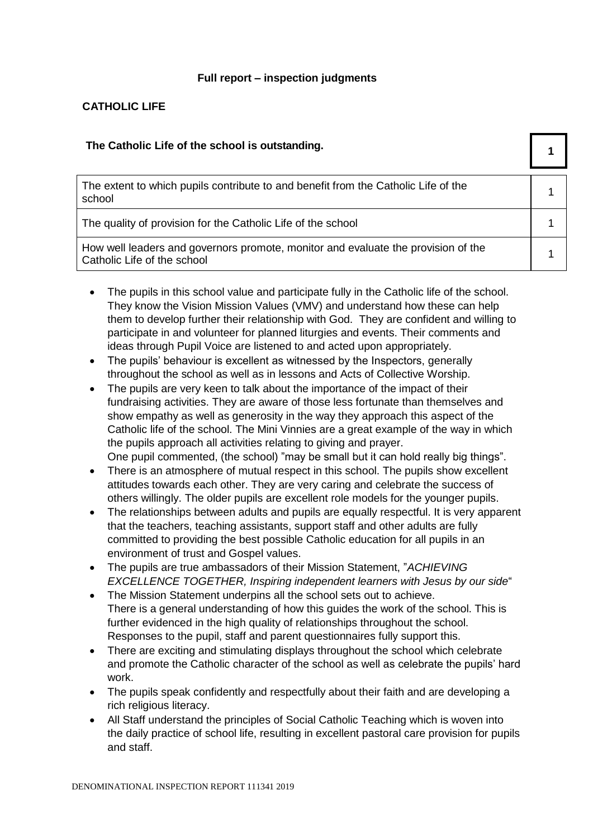#### **Full report – inspection judgments**

#### **CATHOLIC LIFE**

| The Catholic Life of the school is outstanding.                                                                  |  |
|------------------------------------------------------------------------------------------------------------------|--|
| The extent to which pupils contribute to and benefit from the Catholic Life of the<br>school                     |  |
| The quality of provision for the Catholic Life of the school                                                     |  |
| How well leaders and governors promote, monitor and evaluate the provision of the<br>Catholic Life of the school |  |

- The pupils in this school value and participate fully in the Catholic life of the school. They know the Vision Mission Values (VMV) and understand how these can help them to develop further their relationship with God. They are confident and willing to participate in and volunteer for planned liturgies and events. Their comments and ideas through Pupil Voice are listened to and acted upon appropriately.
- The pupils' behaviour is excellent as witnessed by the Inspectors, generally throughout the school as well as in lessons and Acts of Collective Worship.
- The pupils are very keen to talk about the importance of the impact of their fundraising activities. They are aware of those less fortunate than themselves and show empathy as well as generosity in the way they approach this aspect of the Catholic life of the school. The Mini Vinnies are a great example of the way in which the pupils approach all activities relating to giving and prayer. One pupil commented, (the school) "may be small but it can hold really big things".
- There is an atmosphere of mutual respect in this school. The pupils show excellent attitudes towards each other. They are very caring and celebrate the success of others willingly. The older pupils are excellent role models for the younger pupils.
- The relationships between adults and pupils are equally respectful. It is very apparent that the teachers, teaching assistants, support staff and other adults are fully committed to providing the best possible Catholic education for all pupils in an environment of trust and Gospel values.
- The pupils are true ambassadors of their Mission Statement, "*ACHIEVING EXCELLENCE TOGETHER, Inspiring independent learners with Jesus by our side*"
- The Mission Statement underpins all the school sets out to achieve. There is a general understanding of how this guides the work of the school. This is further evidenced in the high quality of relationships throughout the school. Responses to the pupil, staff and parent questionnaires fully support this.
- There are exciting and stimulating displays throughout the school which celebrate and promote the Catholic character of the school as well as celebrate the pupils' hard work.
- The pupils speak confidently and respectfully about their faith and are developing a rich religious literacy.
- All Staff understand the principles of Social Catholic Teaching which is woven into the daily practice of school life, resulting in excellent pastoral care provision for pupils and staff.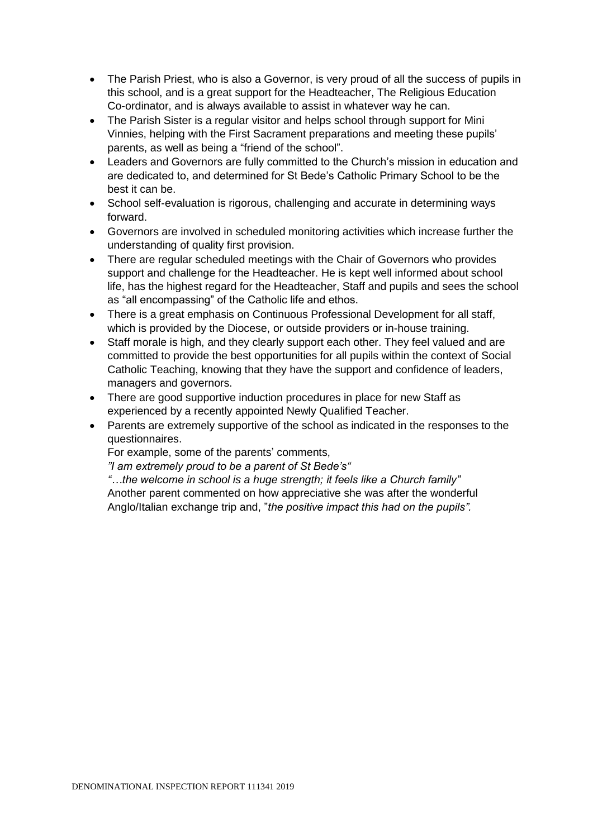- The Parish Priest, who is also a Governor, is very proud of all the success of pupils in this school, and is a great support for the Headteacher, The Religious Education Co-ordinator, and is always available to assist in whatever way he can.
- The Parish Sister is a regular visitor and helps school through support for Mini Vinnies, helping with the First Sacrament preparations and meeting these pupils' parents, as well as being a "friend of the school".
- Leaders and Governors are fully committed to the Church's mission in education and are dedicated to, and determined for St Bede's Catholic Primary School to be the best it can be.
- School self-evaluation is rigorous, challenging and accurate in determining ways forward.
- Governors are involved in scheduled monitoring activities which increase further the understanding of quality first provision.
- There are regular scheduled meetings with the Chair of Governors who provides support and challenge for the Headteacher. He is kept well informed about school life, has the highest regard for the Headteacher, Staff and pupils and sees the school as "all encompassing" of the Catholic life and ethos.
- There is a great emphasis on Continuous Professional Development for all staff. which is provided by the Diocese, or outside providers or in-house training.
- Staff morale is high, and they clearly support each other. They feel valued and are committed to provide the best opportunities for all pupils within the context of Social Catholic Teaching, knowing that they have the support and confidence of leaders, managers and governors.
- There are good supportive induction procedures in place for new Staff as experienced by a recently appointed Newly Qualified Teacher.
- Parents are extremely supportive of the school as indicated in the responses to the questionnaires.

For example, some of the parents' comments,

*"I am extremely proud to be a parent of St Bede's"*

*"…the welcome in school is a huge strength; it feels like a Church family"* Another parent commented on how appreciative she was after the wonderful Anglo/Italian exchange trip and, "*the positive impact this had on the pupils".*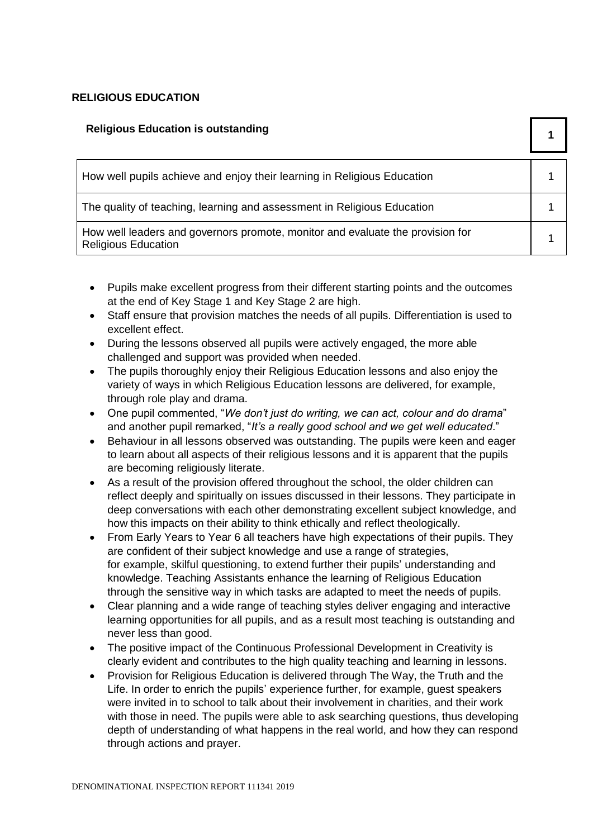#### **RELIGIOUS EDUCATION**

| <b>Religious Education is outstanding</b>                                                                    |  |
|--------------------------------------------------------------------------------------------------------------|--|
| How well pupils achieve and enjoy their learning in Religious Education                                      |  |
| The quality of teaching, learning and assessment in Religious Education                                      |  |
| How well leaders and governors promote, monitor and evaluate the provision for<br><b>Religious Education</b> |  |

- Pupils make excellent progress from their different starting points and the outcomes at the end of Key Stage 1 and Key Stage 2 are high.
- Staff ensure that provision matches the needs of all pupils. Differentiation is used to excellent effect.
- During the lessons observed all pupils were actively engaged, the more able challenged and support was provided when needed.
- The pupils thoroughly enjoy their Religious Education lessons and also enjoy the variety of ways in which Religious Education lessons are delivered, for example, through role play and drama.
- One pupil commented, "*We don't just do writing, we can act, colour and do drama*" and another pupil remarked, "*It's a really good school and we get well educated*."
- Behaviour in all lessons observed was outstanding. The pupils were keen and eager to learn about all aspects of their religious lessons and it is apparent that the pupils are becoming religiously literate.
- As a result of the provision offered throughout the school, the older children can reflect deeply and spiritually on issues discussed in their lessons. They participate in deep conversations with each other demonstrating excellent subject knowledge, and how this impacts on their ability to think ethically and reflect theologically.
- From Early Years to Year 6 all teachers have high expectations of their pupils. They are confident of their subject knowledge and use a range of strategies, for example, skilful questioning, to extend further their pupils' understanding and knowledge. Teaching Assistants enhance the learning of Religious Education through the sensitive way in which tasks are adapted to meet the needs of pupils.
- Clear planning and a wide range of teaching styles deliver engaging and interactive learning opportunities for all pupils, and as a result most teaching is outstanding and never less than good.
- The positive impact of the Continuous Professional Development in Creativity is clearly evident and contributes to the high quality teaching and learning in lessons.
- Provision for Religious Education is delivered through The Way, the Truth and the Life. In order to enrich the pupils' experience further, for example, guest speakers were invited in to school to talk about their involvement in charities, and their work with those in need. The pupils were able to ask searching questions, thus developing depth of understanding of what happens in the real world, and how they can respond through actions and prayer.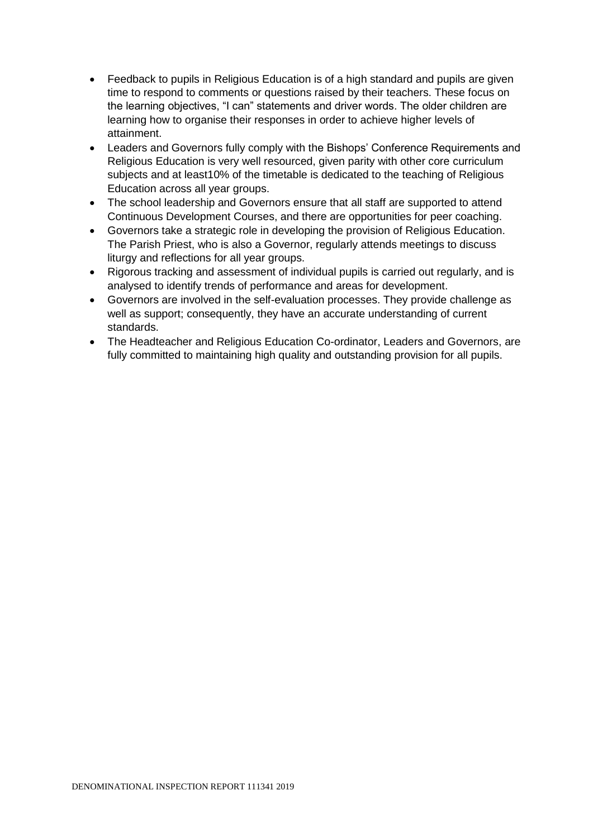- Feedback to pupils in Religious Education is of a high standard and pupils are given time to respond to comments or questions raised by their teachers. These focus on the learning objectives, "I can" statements and driver words. The older children are learning how to organise their responses in order to achieve higher levels of attainment.
- Leaders and Governors fully comply with the Bishops' Conference Requirements and Religious Education is very well resourced, given parity with other core curriculum subjects and at least10% of the timetable is dedicated to the teaching of Religious Education across all year groups.
- The school leadership and Governors ensure that all staff are supported to attend Continuous Development Courses, and there are opportunities for peer coaching.
- Governors take a strategic role in developing the provision of Religious Education. The Parish Priest, who is also a Governor, regularly attends meetings to discuss liturgy and reflections for all year groups.
- Rigorous tracking and assessment of individual pupils is carried out regularly, and is analysed to identify trends of performance and areas for development.
- Governors are involved in the self-evaluation processes. They provide challenge as well as support; consequently, they have an accurate understanding of current standards.
- The Headteacher and Religious Education Co-ordinator, Leaders and Governors, are fully committed to maintaining high quality and outstanding provision for all pupils.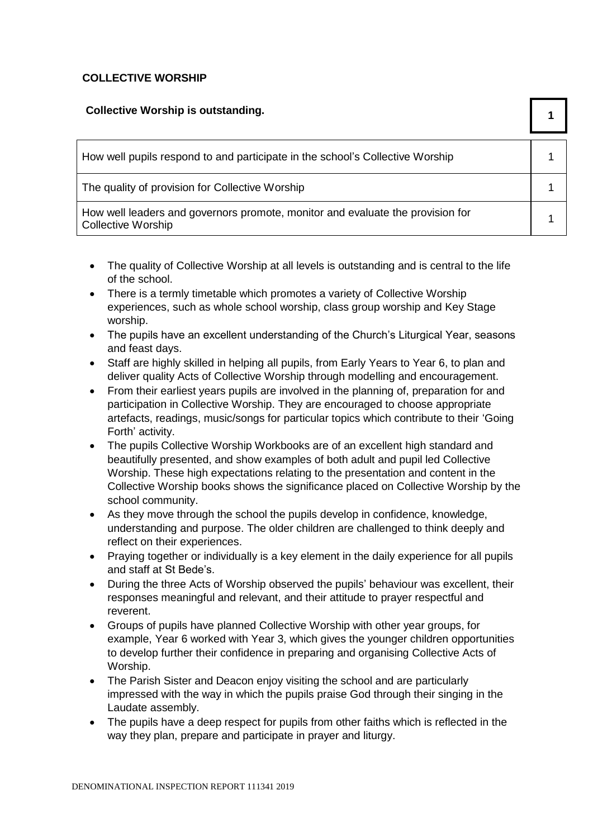#### **COLLECTIVE WORSHIP**

| <b>Collective Worship is outstanding.</b>                                                                   |  |
|-------------------------------------------------------------------------------------------------------------|--|
| How well pupils respond to and participate in the school's Collective Worship                               |  |
| The quality of provision for Collective Worship                                                             |  |
| How well leaders and governors promote, monitor and evaluate the provision for<br><b>Collective Worship</b> |  |

- The quality of Collective Worship at all levels is outstanding and is central to the life of the school.
- There is a termly timetable which promotes a variety of Collective Worship experiences, such as whole school worship, class group worship and Key Stage worship.
- The pupils have an excellent understanding of the Church's Liturgical Year, seasons and feast days.
- Staff are highly skilled in helping all pupils, from Early Years to Year 6, to plan and deliver quality Acts of Collective Worship through modelling and encouragement.
- From their earliest years pupils are involved in the planning of, preparation for and participation in Collective Worship. They are encouraged to choose appropriate artefacts, readings, music/songs for particular topics which contribute to their 'Going Forth' activity.
- The pupils Collective Worship Workbooks are of an excellent high standard and beautifully presented, and show examples of both adult and pupil led Collective Worship. These high expectations relating to the presentation and content in the Collective Worship books shows the significance placed on Collective Worship by the school community.
- As they move through the school the pupils develop in confidence, knowledge, understanding and purpose. The older children are challenged to think deeply and reflect on their experiences.
- Praying together or individually is a key element in the daily experience for all pupils and staff at St Bede's.
- During the three Acts of Worship observed the pupils' behaviour was excellent, their responses meaningful and relevant, and their attitude to prayer respectful and reverent.
- Groups of pupils have planned Collective Worship with other year groups, for example, Year 6 worked with Year 3, which gives the younger children opportunities to develop further their confidence in preparing and organising Collective Acts of Worship.
- The Parish Sister and Deacon enjoy visiting the school and are particularly impressed with the way in which the pupils praise God through their singing in the Laudate assembly.
- The pupils have a deep respect for pupils from other faiths which is reflected in the way they plan, prepare and participate in prayer and liturgy.